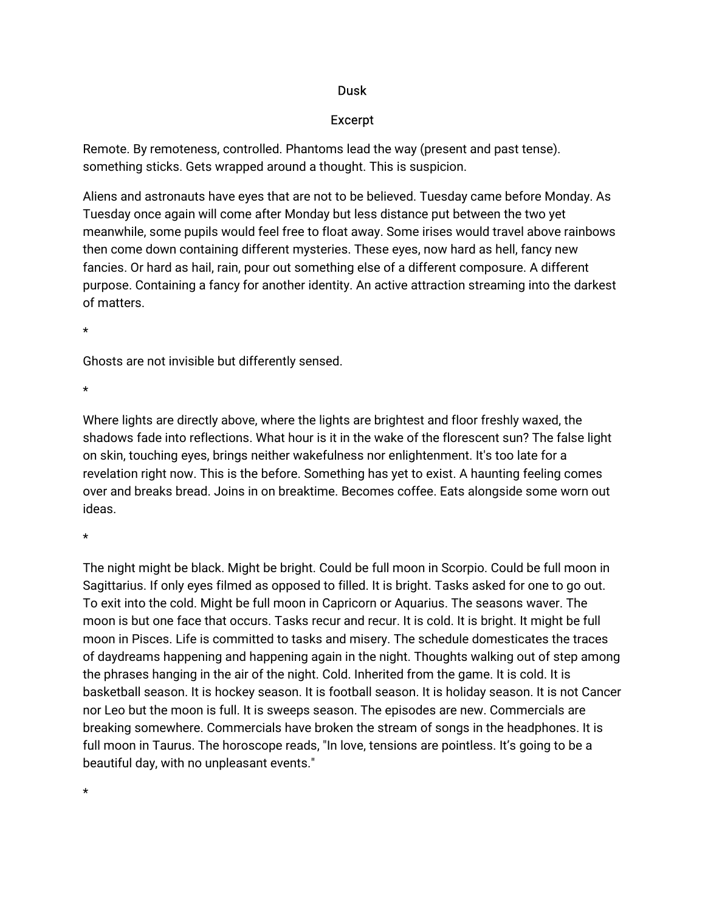## Dusk

## Excerpt

Remote. By remoteness, controlled. Phantoms lead the way (present and past tense). something sticks. Gets wrapped around a thought. This is suspicion.

Aliens and astronauts have eyes that are not to be believed. Tuesday came before Monday. As Tuesday once again will come after Monday but less distance put between the two yet meanwhile, some pupils would feel free to float away. Some irises would travel above rainbows then come down containing different mysteries. These eyes, now hard as hell, fancy new fancies. Or hard as hail, rain, pour out something else of a different composure. A different purpose. Containing a fancy for another identity. An active attraction streaming into the darkest of matters.

 $\star$ 

Ghosts are not invisible but differently sensed.

 $\star$ 

Where lights are directly above, where the lights are brightest and floor freshly waxed, the shadows fade into reflections. What hour is it in the wake of the florescent sun? The false light on skin, touching eyes, brings neither wakefulness nor enlightenment. It's too late for a revelation right now. This is the before. Something has yet to exist. A haunting feeling comes over and breaks bread. Joins in on breaktime. Becomes coffee. Eats alongside some worn out ideas.

 $\star$ 

The night might be black. Might be bright. Could be full moon in Scorpio. Could be full moon in Sagittarius. If only eyes filmed as opposed to filled. It is bright. Tasks asked for one to go out. To exit into the cold. Might be full moon in Capricorn or Aquarius. The seasons waver. The moon is but one face that occurs. Tasks recur and recur. It is cold. It is bright. It might be full moon in Pisces. Life is committed to tasks and misery. The schedule domesticates the traces of daydreams happening and happening again in the night. Thoughts walking out of step among the phrases hanging in the air of the night. Cold. Inherited from the game. It is cold. It is basketball season. It is hockey season. It is football season. It is holiday season. It is not Cancer nor Leo but the moon is full. It is sweeps season. The episodes are new. Commercials are breaking somewhere. Commercials have broken the stream of songs in the headphones. It is full moon in Taurus. The horoscope reads, "In love, tensions are pointless. It's going to be a beautiful day, with no unpleasant events."

\*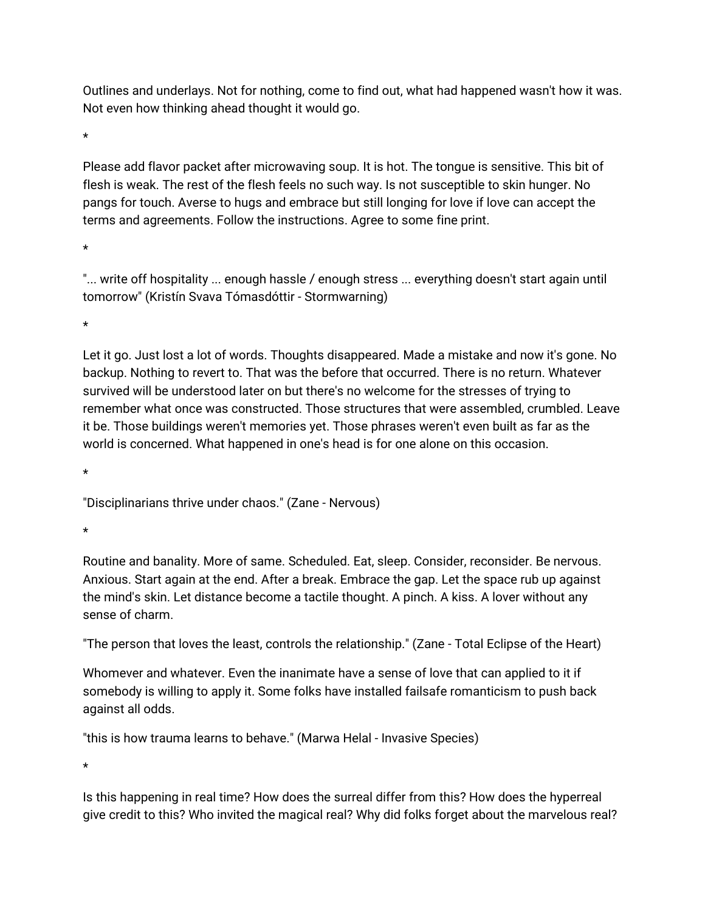Outlines and underlays. Not for nothing, come to find out, what had happened wasn't how it was. Not even how thinking ahead thought it would go.

 $\star$ 

Please add flavor packet after microwaving soup. It is hot. The tongue is sensitive. This bit of flesh is weak. The rest of the flesh feels no such way. Is not susceptible to skin hunger. No pangs for touch. Averse to hugs and embrace but still longing for love if love can accept the terms and agreements. Follow the instructions. Agree to some fine print.

÷

"... write off hospitality ... enough hassle / enough stress ... everything doesn't start again until tomorrow" (Kristín Svava Tómasdóttir - Stormwarning)

 $\star$ 

Let it go. Just lost a lot of words. Thoughts disappeared. Made a mistake and now it's gone. No backup. Nothing to revert to. That was the before that occurred. There is no return. Whatever survived will be understood later on but there's no welcome for the stresses of trying to remember what once was constructed. Those structures that were assembled, crumbled. Leave it be. Those buildings weren't memories yet. Those phrases weren't even built as far as the world is concerned. What happened in one's head is for one alone on this occasion.

 $\star$ 

"Disciplinarians thrive under chaos." (Zane - Nervous)

 $\star$ 

Routine and banality. More of same. Scheduled. Eat, sleep. Consider, reconsider. Be nervous. Anxious. Start again at the end. After a break. Embrace the gap. Let the space rub up against the mind's skin. Let distance become a tactile thought. A pinch. A kiss. A lover without any sense of charm.

"The person that loves the least, controls the relationship." (Zane - Total Eclipse of the Heart)

Whomever and whatever. Even the inanimate have a sense of love that can applied to it if somebody is willing to apply it. Some folks have installed failsafe romanticism to push back against all odds.

"this is how trauma learns to behave." (Marwa Helal - Invasive Species)

 $\star$ 

Is this happening in real time? How does the surreal differ from this? How does the hyperreal give credit to this? Who invited the magical real? Why did folks forget about the marvelous real?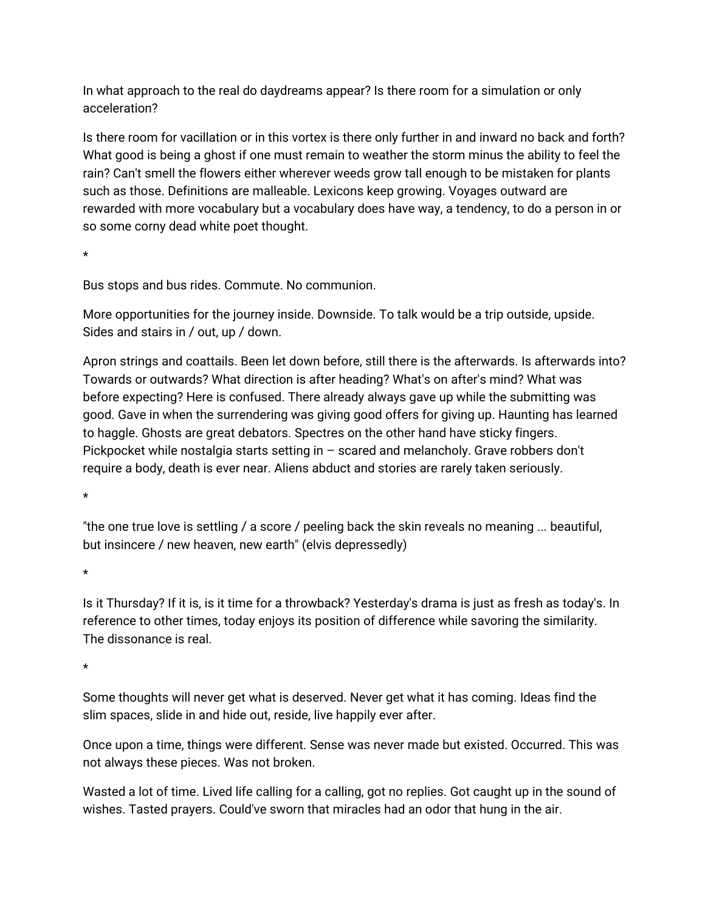In what approach to the real do daydreams appear? Is there room for a simulation or only acceleration?

Is there room for vacillation or in this vortex is there only further in and inward no back and forth? What good is being a ghost if one must remain to weather the storm minus the ability to feel the rain? Can't smell the flowers either wherever weeds grow tall enough to be mistaken for plants such as those. Definitions are malleable. Lexicons keep growing. Voyages outward are rewarded with more vocabulary but a vocabulary does have way, a tendency, to do a person in or so some corny dead white poet thought.

 $\star$ 

Bus stops and bus rides. Commute. No communion.

More opportunities for the journey inside. Downside. To talk would be a trip outside, upside. Sides and stairs in / out, up / down.

Apron strings and coattails. Been let down before, still there is the afterwards. Is afterwards into? Towards or outwards? What direction is after heading? What's on after's mind? What was before expecting? Here is confused. There already always gave up while the submitting was good. Gave in when the surrendering was giving good offers for giving up. Haunting has learned to haggle. Ghosts are great debators. Spectres on the other hand have sticky fingers. Pickpocket while nostalgia starts setting in  $-$  scared and melancholy. Grave robbers don't require a body, death is ever near. Aliens abduct and stories are rarely taken seriously.

 $\star$ 

"the one true love is settling / a score / peeling back the skin reveals no meaning... beautiful, but insincere / new heaven, new earth" (elvis depressedly)

 $\star$ 

Is it Thursday? If it is, is it time for a throwback? Yesterday's drama is just as fresh as today's. In reference to other times, today enjoys its position of difference while savoring the similarity. The dissonance is real.

 $\star$ 

Some thoughts will never get what is deserved. Never get what it has coming. Ideas find the slim spaces, slide in and hide out, reside, live happily ever after.

Once upon a time, things were different. Sense was never made but existed. Occurred. This was not always these pieces. Was not broken.

Wasted a lot of time. Lived life calling for a calling, got no replies. Got caught up in the sound of wishes. Tasted prayers. Could've sworn that miracles had an odor that hung in the air.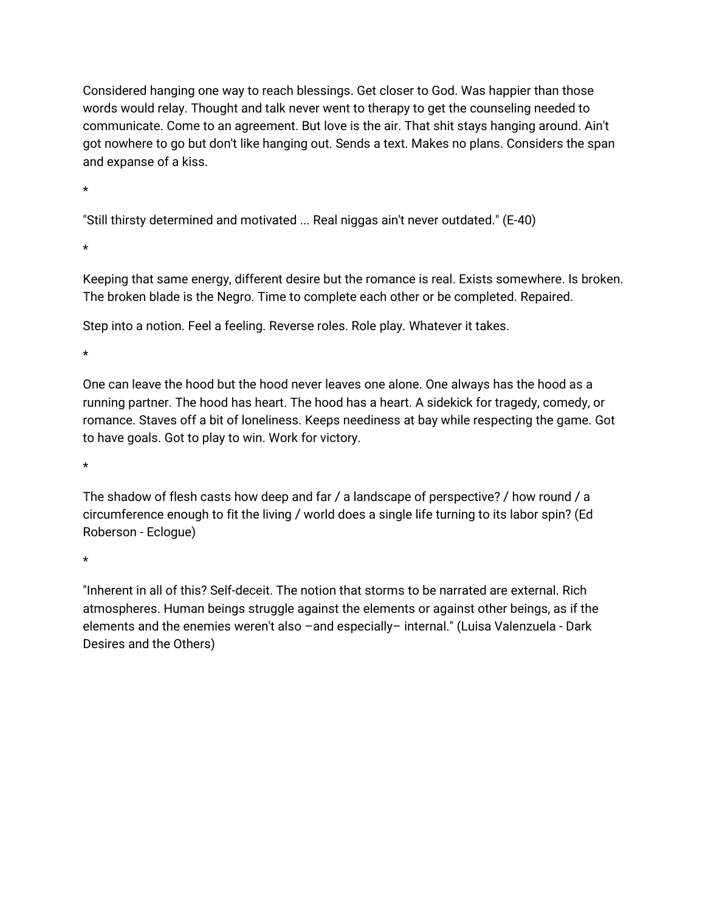Considered hanging one way to reach blessings. Get closer to God. Was happier than those words would relay. Thought and talk never went to therapy to get the counseling needed to communicate. Come to an agreement. But love is the air. That shit stays hanging around. Ain't got nowhere to go but don't like hanging out. Sends a text. Makes no plans. Considers the span and expanse of a kiss.

 $\star$ 

"Still thirsty determined and motivated ... Real niggas ain't never outdated." (E-40)

 $\star$ 

Keeping that same energy, different desire but the romance is real. Exists somewhere. Is broken. The broken blade is the Negro. Time to complete each other or be completed. Repaired.

Step into a notion. Feel a feeling. Reverse roles. Role play. Whatever it takes.

 $\star$ 

One can leave the hood but the hood never leaves one alone. One always has the hood as a running partner. The hood has heart. The hood has a heart. A sidekick for tragedy, comedy, or romance. Staves off a bit of loneliness. Keeps neediness at bay while respecting the game. Got to have goals. Got to play to win. Work for victory.

 $\star$ 

The shadow of flesh casts how deep and far / a landscape of perspective? / how round / a circumference enough to fit the living / world does a single life turning to its labor spin? (Ed Roberson-Eclogue)

 $\star$ 

"Inherent in all of this? Self-deceit. The notion that storms to be narrated are external. Rich atmospheres. Human beings struggle against the elements or against other beings, as if the elements and the enemies weren't also -and especially- internal." (Luisa Valenzuela - Dark Desires and the Others)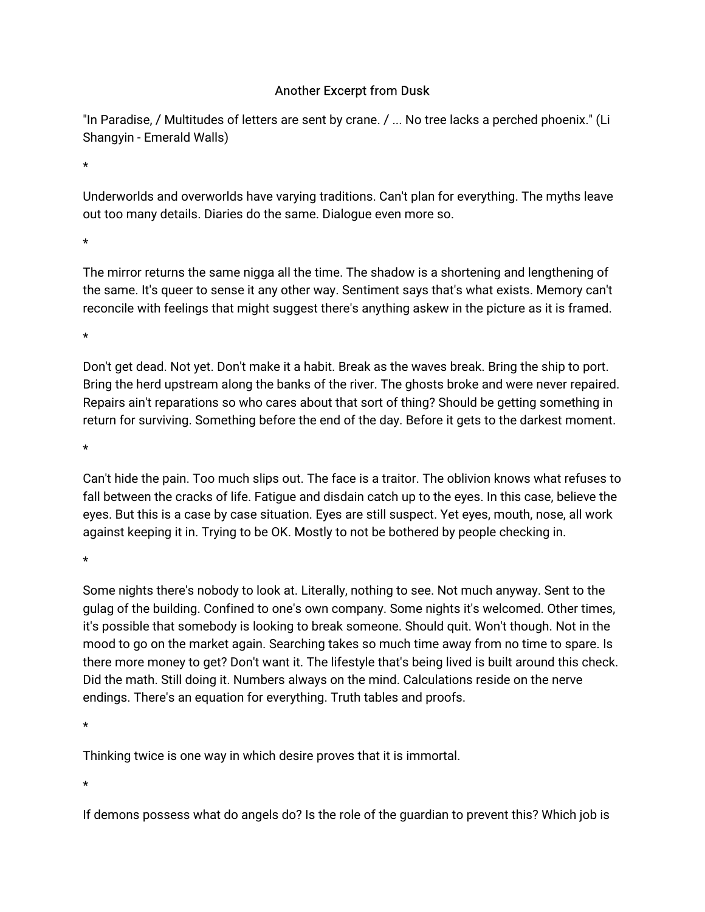## **Another Excerpt from Dusk**

"In Paradise, / Multitudes of letters are sent by crane. / ... No tree lacks a perched phoenix." (Li Shangyin - Emerald Walls)

 $\star$ 

Underworlds and overworlds have varying traditions. Can't plan for everything. The myths leave out too many details. Diaries do the same. Dialogue even more so.

 $\ddot{\phantom{0}}$ 

The mirror returns the same nigga all the time. The shadow is a shortening and lengthening of the same. It's queer to sense it any other way. Sentiment says that's what exists. Memory can't reconcile with feelings that might suggest there's anything askew in the picture as it is framed.

 $\ddot{\phantom{0}}$ 

Don't get dead. Not yet. Don't make it a habit. Break as the waves break. Bring the ship to port. Bring the herd upstream along the banks of the river. The ghosts broke and were never repaired. Repairs ain't reparations so who cares about that sort of thing? Should be getting something in return for surviving. Something before the end of the day. Before it gets to the darkest moment.

 $\star$ 

Can't hide the pain. Too much slips out. The face is a traitor. The oblivion knows what refuses to fall between the cracks of life. Fatigue and disdain catch up to the eyes. In this case, believe the eyes. But this is a case by case situation. Eyes are still suspect. Yet eyes, mouth, nose, all work against keeping it in. Trying to be OK. Mostly to not be bothered by people checking in.

Some nights there's nobody to look at. Literally, nothing to see. Not much anyway. Sent to the gulag of the building. Confined to one's own company. Some nights it's welcomed. Other times, it's possible that somebody is looking to break someone. Should quit. Won't though. Not in the mood to go on the market again. Searching takes so much time away from no time to spare. Is there more money to get? Don't want it. The lifestyle that's being lived is built around this check. Did the math. Still doing it. Numbers always on the mind. Calculations reside on the nerve endings. There's an equation for everything. Truth tables and proofs.

 $\star$ 

Thinking twice is one way in which desire proves that it is immortal.

If demons possess what do angels do? Is the role of the guardian to prevent this? Which job is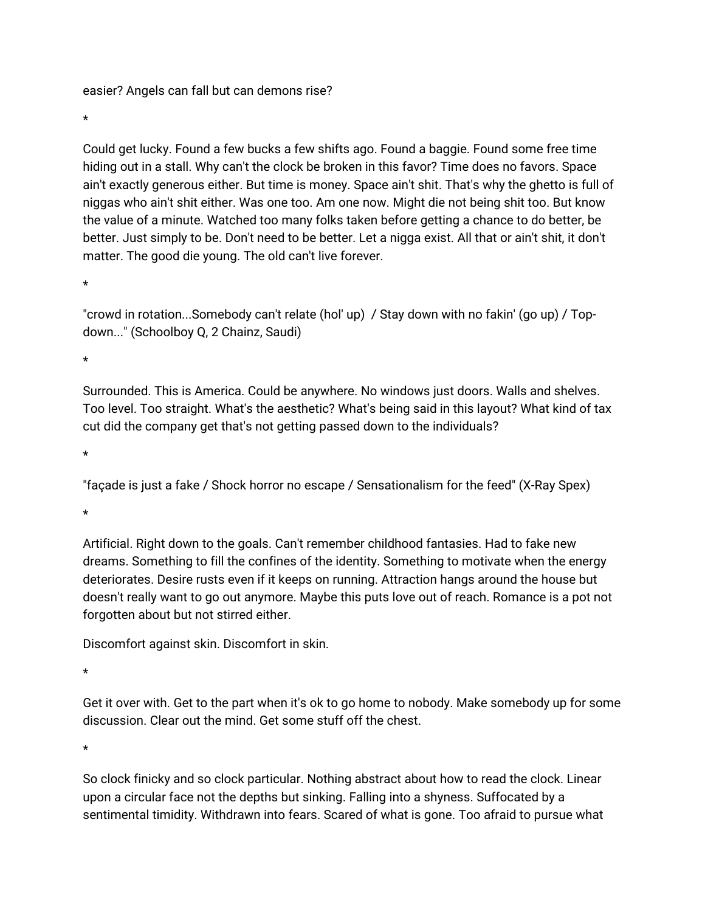easier? Angels can fall but can demons rise?

 $\star$ 

Could get lucky. Found a few bucks a few shifts ago. Found a baggie. Found some free time hiding out in a stall. Why can't the clock be broken in this favor? Time does no favors. Space ain't exactly generous either. But time is money. Space ain't shit. That's why the ghetto is full of niggas who ain't shit either. Was one too. Am one now. Might die not being shit too. But know the value of a minute. Watched too many folks taken before getting a chance to do better, be better. Just simply to be. Don't need to be better. Let a nigga exist. All that or ain't shit, it don't matter. The good die young. The old can't live forever.

 $\star$ 

"crowd in rotation...Somebody can't relate (hol' up) / Stay down with no fakin' (go up) / Topdown..." (Schoolboy Q, 2 Chainz, Saudi)

 $\star$ 

Surrounded. This is America. Could be anywhere. No windows just doors. Walls and shelves. Too level. Too straight. What's the aesthetic? What's being said in this layout? What kind of tax cut did the company get that's not getting passed down to the individuals?

 $\star$ 

"façade is just a fake / Shock horror no escape / Sensationalism for the feed" (X-Ray Spex)

 $\star$ 

Artificial. Right down to the goals. Can't remember childhood fantasies. Had to fake new dreams. Something to fill the confines of the identity. Something to motivate when the energy deteriorates. Desire rusts even if it keeps on running. Attraction hangs around the house but doesn't really want to go out anymore. Maybe this puts love out of reach. Romance is a pot not forgotten about but not stirred either.

Discomfort against skin. Discomfort in skin.

 $\star$ 

Get it over with. Get to the part when it's ok to go home to nobody. Make somebody up for some discussion. Clear out the mind. Get some stuff off the chest.

 $\star$ 

So clock finicky and so clock particular. Nothing abstract about how to read the clock. Linear upon a circular face not the depths but sinking. Falling into a shyness. Suffocated by a sentimental timidity. Withdrawn into fears. Scared of what is gone. Too afraid to pursue what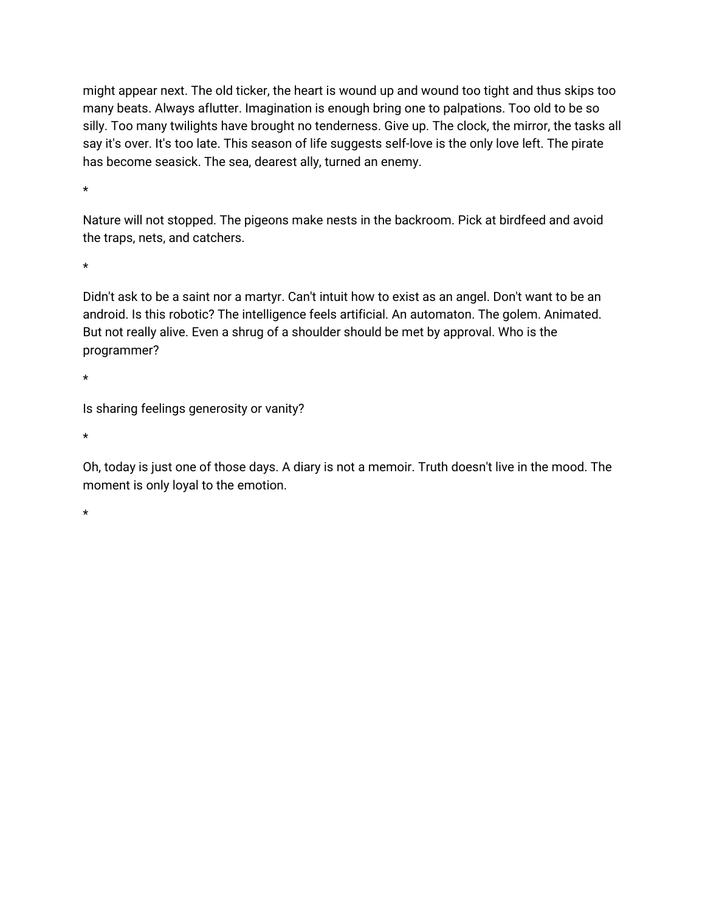might appear next. The old ticker, the heart is wound up and wound too tight and thus skips too many beats. Always aflutter. Imagination is enough bring one to palpations. Too old to be so silly. Too many twilights have brought no tenderness. Give up. The clock, the mirror, the tasks all say it's over. It's too late. This season of life suggests self-love is the only love left. The pirate has become seasick. The sea, dearest ally, turned an enemy.

 $\star$ 

Nature will not stopped. The pigeons make nests in the backroom. Pick at birdfeed and avoid the traps, nets, and catchers.

 $\star$ 

Didn't ask to be a saint nor a martyr. Can't intuit how to exist as an angel. Don't want to be an android. Is this robotic? The intelligence feels artificial. An automaton. The golem. Animated. But not really alive. Even a shrug of a shoulder should be met by approval. Who is the programmer?

 $\star$ 

Is sharing feelings generosity or vanity?

 $\star$ 

Oh, today is just one of those days. A diary is not a memoir. Truth doesn't live in the mood. The moment is only loyal to the emotion.

 $\star$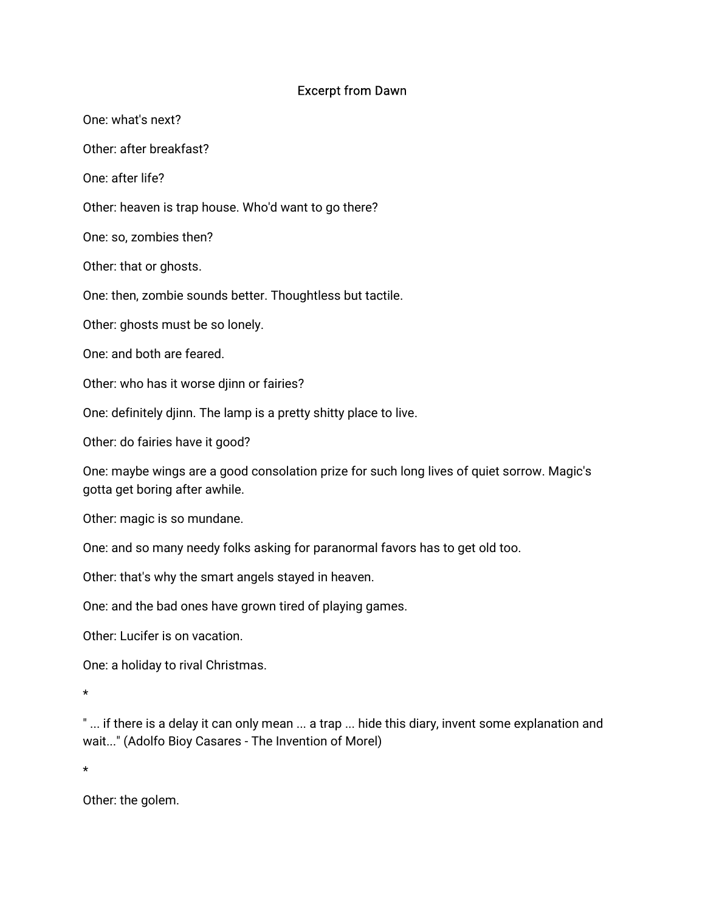## **Excerpt from Dawn**

One: what's next?

Other: after breakfast?

One: after life?

Other: heaven is trap house. Who'd want to go there?

One: so, zombies then?

Other: that or ghosts.

One: then, zombie sounds better. Thoughtless but tactile.

Other: ghosts must be so lonely.

One: and both are feared.

Other: who has it worse diinn or fairies?

One: definitely djinn. The lamp is a pretty shitty place to live.

Other: do fairies have it good?

One: maybe wings are a good consolation prize for such long lives of quiet sorrow. Magic's gotta get boring after awhile.

Other: magic is so mundane.

One: and so many needy folks asking for paranormal favors has to get old too.

Other: that's why the smart angels stayed in heaven.

One: and the bad ones have grown tired of playing games.

Other: Lucifer is on vacation

One: a holiday to rival Christmas.

"... if there is a delay it can only mean ... a trap ... hide this diary, invent some explanation and wait..." (Adolfo Bioy Casares - The Invention of Morel)

 $\star$ 

Other: the golem.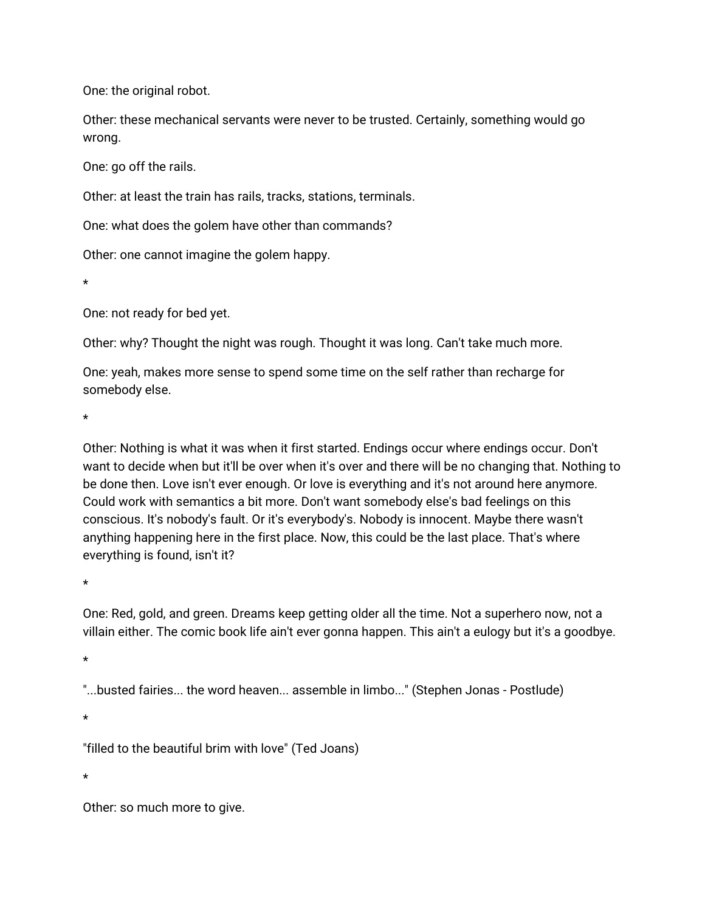One: the original robot.

Other: these mechanical servants were never to be trusted. Certainly, something would go wrong.

One: go off the rails.

Other: at least the train has rails, tracks, stations, terminals.

One: what does the golem have other than commands?

Other: one cannot imagine the golem happy.

One: not ready for bed yet.

Other: why? Thought the night was rough. Thought it was long. Can't take much more.

One: yeah, makes more sense to spend some time on the self rather than recharge for somebody else.

÷.

Other: Nothing is what it was when it first started. Endings occur where endings occur. Don't want to decide when but it'll be over when it's over and there will be no changing that. Nothing to be done then. Love isn't ever enough. Or love is everything and it's not around here anymore. Could work with semantics a bit more. Don't want somebody else's bad feelings on this conscious. It's nobody's fault. Or it's everybody's. Nobody is innocent. Maybe there wasn't anything happening here in the first place. Now, this could be the last place. That's where everything is found, isn't it?

One: Red, gold, and green. Dreams keep getting older all the time. Not a superhero now, not a villain either. The comic book life ain't ever gonna happen. This ain't a eulogy but it's a goodbye.

"...busted fairies... the word heaven... assemble in limbo..." (Stephen Jonas - Postlude)

 $\star$ 

"filled to the beautiful brim with love" (Ted Joans)

Other: so much more to give.